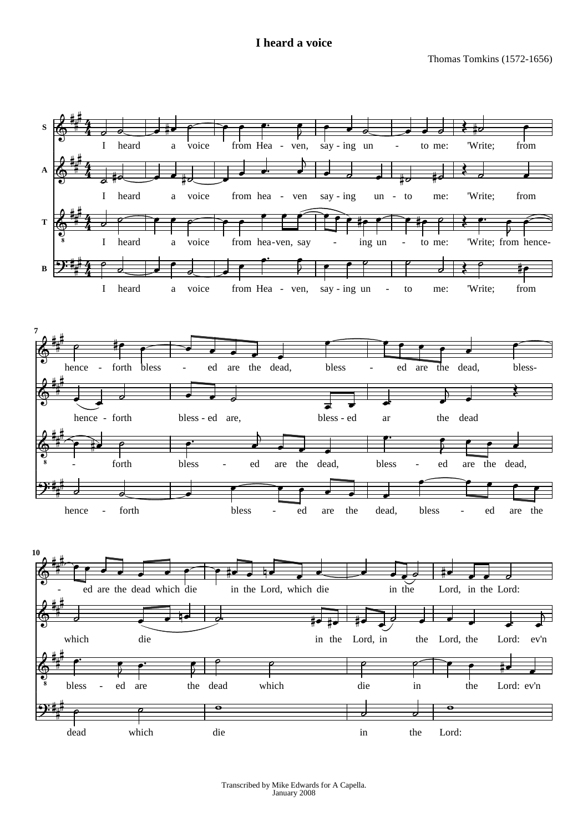